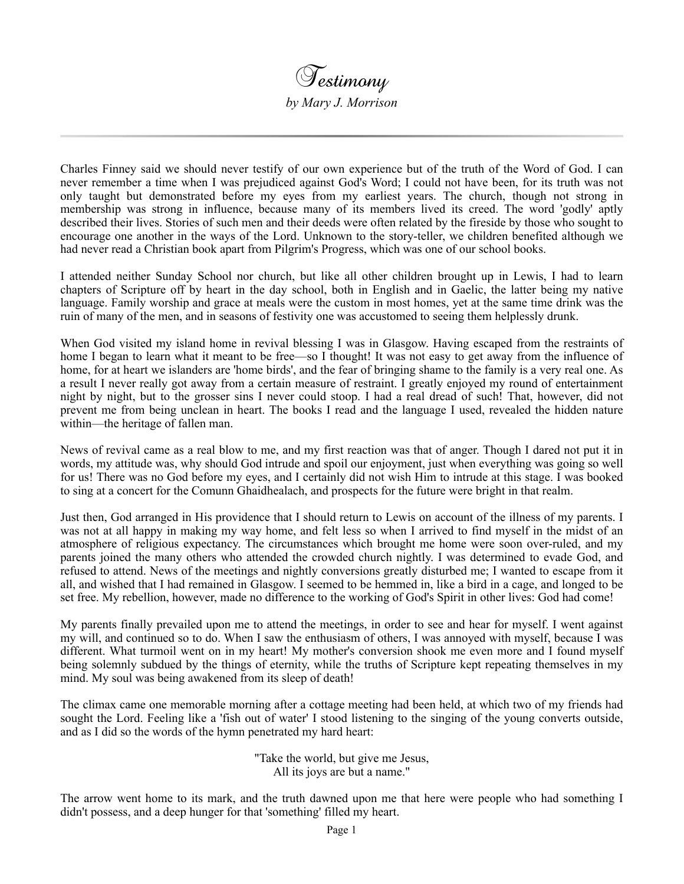

Charles Finney said we should never testify of our own experience but of the truth of the Word of God. I can never remember a time when I was prejudiced against God's Word; I could not have been, for its truth was not only taught but demonstrated before my eyes from my earliest years. The church, though not strong in membership was strong in influence, because many of its members lived its creed. The word 'godly' aptly described their lives. Stories of such men and their deeds were often related by the fireside by those who sought to encourage one another in the ways of the Lord. Unknown to the story-teller, we children benefited although we had never read a Christian book apart from Pilgrim's Progress, which was one of our school books.

I attended neither Sunday School nor church, but like all other children brought up in Lewis, I had to learn chapters of Scripture off by heart in the day school, both in English and in Gaelic, the latter being my native language. Family worship and grace at meals were the custom in most homes, yet at the same time drink was the ruin of many of the men, and in seasons of festivity one was accustomed to seeing them helplessly drunk.

When God visited my island home in revival blessing I was in Glasgow. Having escaped from the restraints of home I began to learn what it meant to be free—so I thought! It was not easy to get away from the influence of home, for at heart we islanders are 'home birds', and the fear of bringing shame to the family is a very real one. As a result I never really got away from a certain measure of restraint. I greatly enjoyed my round of entertainment night by night, but to the grosser sins I never could stoop. I had a real dread of such! That, however, did not prevent me from being unclean in heart. The books I read and the language I used, revealed the hidden nature within—the heritage of fallen man.

News of revival came as a real blow to me, and my first reaction was that of anger. Though I dared not put it in words, my attitude was, why should God intrude and spoil our enjoyment, just when everything was going so well for us! There was no God before my eyes, and I certainly did not wish Him to intrude at this stage. I was booked to sing at a concert for the Comunn Ghaidhealach, and prospects for the future were bright in that realm.

Just then, God arranged in His providence that I should return to Lewis on account of the illness of my parents. I was not at all happy in making my way home, and felt less so when I arrived to find myself in the midst of an atmosphere of religious expectancy. The circumstances which brought me home were soon over-ruled, and my parents joined the many others who attended the crowded church nightly. I was determined to evade God, and refused to attend. News of the meetings and nightly conversions greatly disturbed me; I wanted to escape from it all, and wished that I had remained in Glasgow. I seemed to be hemmed in, like a bird in a cage, and longed to be set free. My rebellion, however, made no difference to the working of God's Spirit in other lives: God had come!

My parents finally prevailed upon me to attend the meetings, in order to see and hear for myself. I went against my will, and continued so to do. When I saw the enthusiasm of others, I was annoyed with myself, because I was different. What turmoil went on in my heart! My mother's conversion shook me even more and I found myself being solemnly subdued by the things of eternity, while the truths of Scripture kept repeating themselves in my mind. My soul was being awakened from its sleep of death!

The climax came one memorable morning after a cottage meeting had been held, at which two of my friends had sought the Lord. Feeling like a 'fish out of water' I stood listening to the singing of the young converts outside, and as I did so the words of the hymn penetrated my hard heart:

> "Take the world, but give me Jesus, All its joys are but a name."

The arrow went home to its mark, and the truth dawned upon me that here were people who had something I didn't possess, and a deep hunger for that 'something' filled my heart.